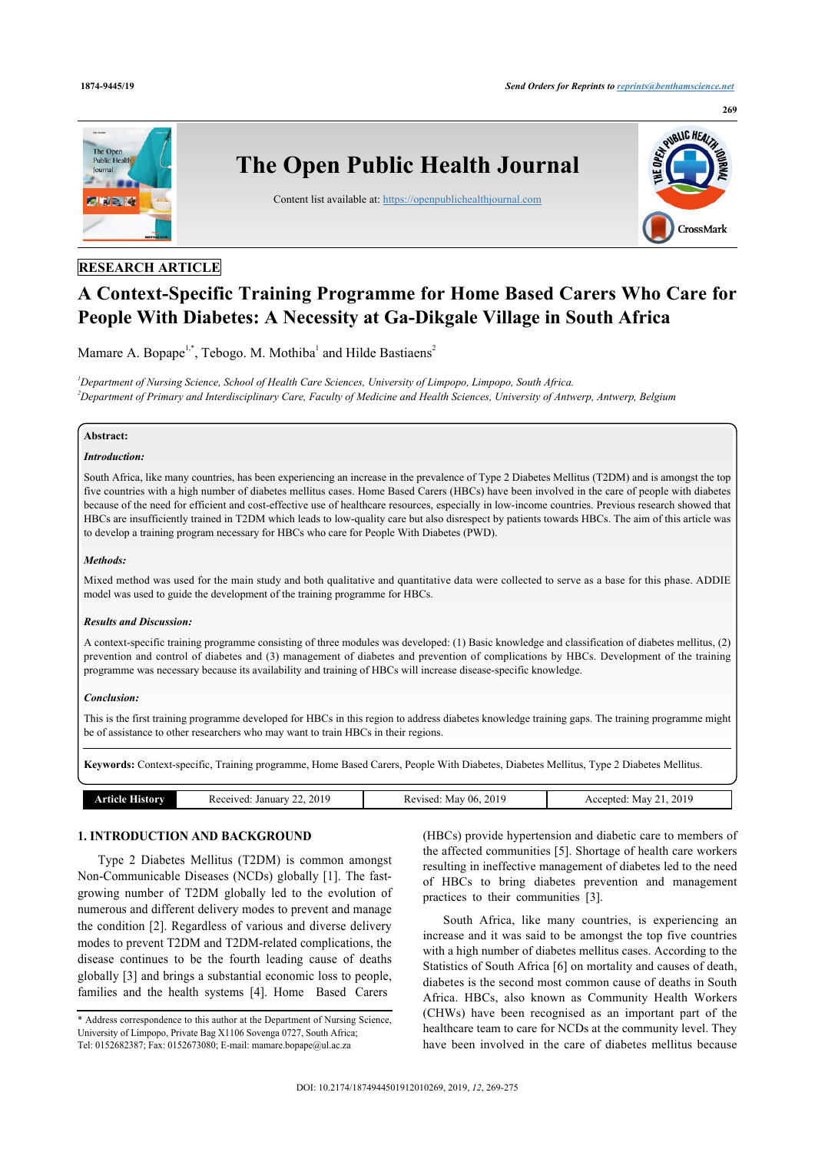

# **RESEARCH ARTICLE**

# **A Context-Specific Training Programme for Home Based Carers Who Care for People With Diabetes: A Necessity at Ga-Dikgale Village in South Africa**

Mamare A. Bopape<sup>[1](#page-0-0)[,\\*](#page-0-1)</sup>, Tebogo. M. Mothiba<sup>1</sup> and Hilde Bastiaens<sup>[2](#page-0-2)</sup>

<span id="page-0-2"></span><span id="page-0-0"></span>*<sup>1</sup>Department of Nursing Science, School of Health Care Sciences, University of Limpopo, Limpopo, South Africa. <sup>2</sup>Department of Primary and Interdisciplinary Care, Faculty of Medicine and Health Sciences, University of Antwerp, Antwerp, Belgium*

### **Abstract:**

# *Introduction:*

South Africa, like many countries, has been experiencing an increase in the prevalence of Type 2 Diabetes Mellitus (T2DM) and is amongst the top five countries with a high number of diabetes mellitus cases. Home Based Carers (HBCs) have been involved in the care of people with diabetes because of the need for efficient and cost-effective use of healthcare resources, especially in low-income countries. Previous research showed that HBCs are insufficiently trained in T2DM which leads to low-quality care but also disrespect by patients towards HBCs. The aim of this article was to develop a training program necessary for HBCs who care for People With Diabetes (PWD).

# *Methods:*

Mixed method was used for the main study and both qualitative and quantitative data were collected to serve as a base for this phase. ADDIE model was used to guide the development of the training programme for HBCs.

#### *Results and Discussion:*

A context-specific training programme consisting of three modules was developed: (1) Basic knowledge and classification of diabetes mellitus, (2) prevention and control of diabetes and (3) management of diabetes and prevention of complications by HBCs. Development of the training programme was necessary because its availability and training of HBCs will increase disease-specific knowledge.

#### *Conclusion:*

This is the first training programme developed for HBCs in this region to address diabetes knowledge training gaps. The training programme might be of assistance to other researchers who may want to train HBCs in their regions.

**Keywords:** Context-specific, Training programme, Home Based Carers, People With Diabetes, Diabetes Mellitus, Type 2 Diabetes Mellitus.

| 2019     | 201      | 2019   |
|----------|----------|--------|
| . .      | -06      | $\sim$ |
| Januar   | Peviseu. | Mav    |
| eceived. | May      | ≧nteα. |

# **1. INTRODUCTION AND BACKGROUND**

Type 2 Diabetes Mellitus (T2DM) is common amongst Non-Communicable Diseases (NCDs) globally [\[1\]](#page-6-0). The fastgrowing number of T2DM globally led to the evolution of numerous and different delivery modes to prevent and manage the condition [\[2\]](#page-6-1). Regardless of various and diverse delivery modes to prevent T2DM and T2DM-related complications, the disease continues to be the fourth leading cause of deaths globally [[3](#page-6-2)] and brings a substantial economic loss to people, families and the health systems [[4](#page-6-3)]. Home Based Carers

(HBCs) provide hypertension and diabetic care to members of the affected communities [[5\]](#page-6-4). Shortage of health care workers resulting in ineffective management of diabetes led to the need of HBCs to bring diabetes prevention and management practices to their communities[[3](#page-6-2)].

South Africa, like many countries, is experiencing an increase and it was said to be amongst the top five countries with a high number of diabetes mellitus cases. According to the Statistics of South Africa [[6\]](#page-6-5) on mortality and causes of death, diabetes is the second most common cause of deaths in South Africa. HBCs, also known as Community Health Workers (CHWs) have been recognised as an important part of the healthcare team to care for NCDs at the community level. They have been involved in the care of diabetes mellitus because

<span id="page-0-1"></span><sup>\*</sup> Address correspondence to this author at the Department of Nursing Science, University of Limpopo, Private Bag X1106 Sovenga 0727, South Africa; Tel: 0152682387; Fax: 0152673080; E-mail: [mamare.bopape@ul.ac.za](mailto:mamare.bopape@ul.ac.za)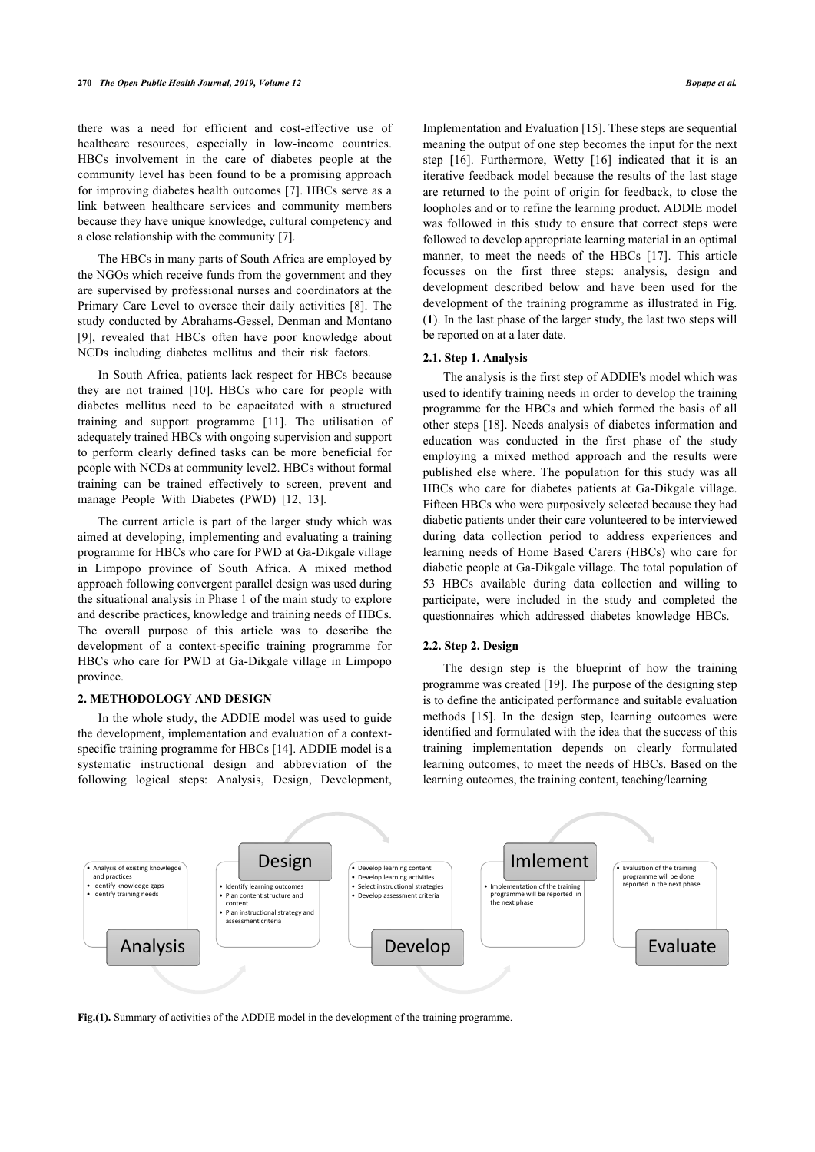there was a need for efficient and cost-effective use of healthcare resources, especially in low-income countries. HBCs involvement in the care of diabetes people at the community level has been found to be a promising approach for improving diabetes health outcomes [\[7\]](#page-6-6). HBCs serve as a link between healthcare services and community members because they have unique knowledge, cultural competency and a close relationship with the community [\[7\]](#page-6-6).

The HBCs in many parts of South Africa are employed by the NGOs which receive funds from the government and they are supervised by professional nurses and coordinators at the Primary Care Level to oversee their daily activities [[8](#page-6-7)]. The study conducted by Abrahams-Gessel, Denman and Montano [[9](#page-6-8)], revealed that HBCs often have poor knowledge about NCDs including diabetes mellitus and their risk factors.

In South Africa, patients lack respect for HBCs because they are not trained [\[10](#page-6-9)]. HBCs who care for people with diabetes mellitus need to be capacitated with a structured training and support programme [\[11](#page-6-10)]. The utilisation of adequately trained HBCs with ongoing supervision and support to perform clearly defined tasks can be more beneficial for people with NCDs at community level2. HBCs without formal training can be trained effectively to screen, prevent and manage People With Diabetes (PWD)[[12,](#page-6-11) [13](#page-6-12)].

The current article is part of the larger study which was aimed at developing, implementing and evaluating a training programme for HBCs who care for PWD at Ga-Dikgale village in Limpopo province of South Africa. A mixed method approach following convergent parallel design was used during the situational analysis in Phase 1 of the main study to explore and describe practices, knowledge and training needs of HBCs. The overall purpose of this article was to describe the development of a context-specific training programme for HBCs who care for PWD at Ga-Dikgale village in Limpopo province.

# **2. METHODOLOGY AND DESIGN**

In the whole study, the ADDIE model was used to guide the development, implementation and evaluation of a contextspecific training programme for HBCs [[14\]](#page-6-13). ADDIE model is a systematic instructional design and abbreviation of the following logical steps: Analysis, Design, Development,

Implementation and Evaluation [\[15](#page-6-14)]. These steps are sequential meaning the output of one step becomes the input for the next step[[16\]](#page-6-15). Furthermore, Wetty[[16\]](#page-6-15) indicated that it is an iterative feedback model because the results of the last stage are returned to the point of origin for feedback, to close the loopholes and or to refine the learning product. ADDIE model was followed in this study to ensure that correct steps were followed to develop appropriate learning material in an optimal manner,to meet the needs of the HBCs [[17\]](#page-6-16). This article focusses on the first three steps: analysis, design and development described below and have been used for the development of the training programme as illustrated in Fig. (**[1](#page-1-0)**). In the last phase of the larger study, the last two steps will be reported on at a later date.

# **2.1. Step 1. Analysis**

The analysis is the first step of ADDIE's model which was used to identify training needs in order to develop the training programme for the HBCs and which formed the basis of all other steps [\[18](#page-6-17)]. Needs analysis of diabetes information and education was conducted in the first phase of the study employing a mixed method approach and the results were published else where. The population for this study was all HBCs who care for diabetes patients at Ga-Dikgale village. Fifteen HBCs who were purposively selected because they had diabetic patients under their care volunteered to be interviewed during data collection period to address experiences and learning needs of Home Based Carers (HBCs) who care for diabetic people at Ga-Dikgale village. The total population of 53 HBCs available during data collection and willing to participate, were included in the study and completed the questionnaires which addressed diabetes knowledge HBCs.

#### **2.2. Step 2. Design**

The design step is [th](#page-6-18)e blueprint of how the training programme was created [19]. The purpose of the designing step is to defin[e th](#page-6-14)e anticipated performance and suitable evaluation methods [15]. In the design step, learning outcomes were identified and formulated with the idea that the success of this training implementation depends on clearly formulated learning outcomes, to meet the needs of HBCs. Based on the learning outcomes, the training content, teaching/learning

<span id="page-1-0"></span>

**Fig.(1).** Summary of activities of the ADDIE model in the development of the training programme.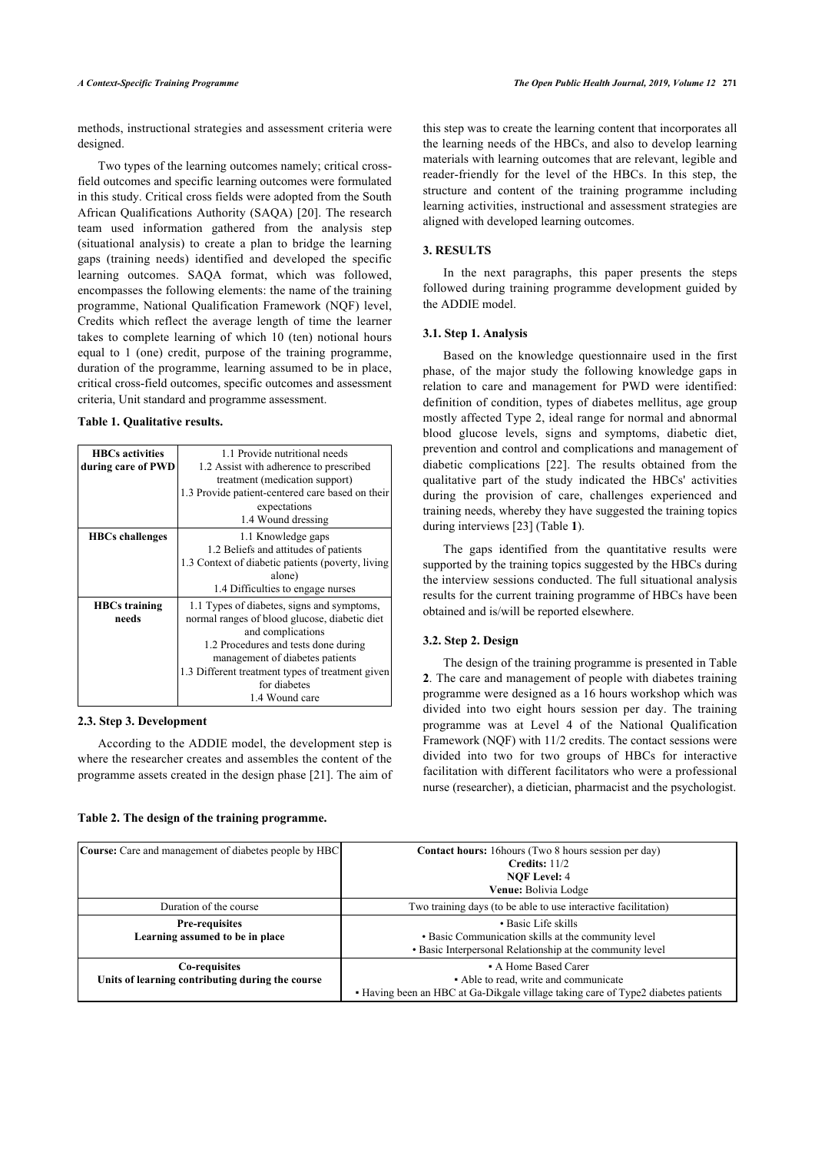methods, instructional strategies and assessment criteria were designed.

Two types of the learning outcomes namely; critical crossfield outcomes and specific learning outcomes were formulated in this study. Critical cross fields were adopted from the South African Qualifications Authority (SAQA) [\[20](#page-6-19)]. The research team used information gathered from the analysis step (situational analysis) to create a plan to bridge the learning gaps (training needs) identified and developed the specific learning outcomes. SAQA format, which was followed, encompasses the following elements: the name of the training programme, National Qualification Framework (NQF) level, Credits which reflect the average length of time the learner takes to complete learning of which 10 (ten) notional hours equal to 1 (one) credit, purpose of the training programme, duration of the programme, learning assumed to be in place, critical cross-field outcomes, specific outcomes and assessment criteria, Unit standard and programme assessment.

#### <span id="page-2-0"></span>**Table 1. Qualitative results.**

| <b>HBCs</b> activities | 1.1 Provide nutritional needs                      |  |
|------------------------|----------------------------------------------------|--|
| during care of PWD     | 1.2 Assist with adherence to prescribed            |  |
|                        | treatment (medication support)                     |  |
|                        | 1.3 Provide patient-centered care based on their   |  |
|                        | expectations                                       |  |
|                        | 1.4 Wound dressing                                 |  |
| <b>HBCs challenges</b> | 1.1 Knowledge gaps                                 |  |
|                        | 1.2 Beliefs and attitudes of patients              |  |
|                        | 1.3 Context of diabetic patients (poverty, living) |  |
|                        | alone)                                             |  |
|                        | 1.4 Difficulties to engage nurses                  |  |
| <b>HBCs training</b>   | 1.1 Types of diabetes, signs and symptoms,         |  |
| needs                  | normal ranges of blood glucose, diabetic diet      |  |
|                        | and complications                                  |  |
|                        | 1.2 Procedures and tests done during               |  |
|                        | management of diabetes patients                    |  |
|                        | 1.3 Different treatment types of treatment given   |  |
|                        | for diabetes                                       |  |
|                        | 1.4 Wound care                                     |  |

#### **2.3. Step 3. Development**

According to the ADDIE model, the development step is where the researcher creates and assembles the content of the programme assets created in the design phase [\[21](#page-6-2)]. The aim of

# <span id="page-2-1"></span>**Table 2. The design of the training programme.**

this step was to create the learning content that incorporates all the learning needs of the HBCs, and also to develop learning materials with learning outcomes that are relevant, legible and reader-friendly for the level of the HBCs. In this step, the structure and content of the training programme including learning activities, instructional and assessment strategies are aligned with developed learning outcomes.

# **3. RESULTS**

In the next paragraphs, this paper presents the steps followed during training programme development guided by the ADDIE model.

#### **3.1. Step 1. Analysis**

Based on the knowledge questionnaire used in the first phase, of the major study the following knowledge gaps in relation to care and management for PWD were identified: definition of condition, types of diabetes mellitus, age group mostly affected Type 2, ideal range for normal and abnormal blood glucose levels, signs and symptoms, diabetic diet, prevention and control and complications and management of diabetic complications [\[22](#page-6-20)]. The results obtained from the qualitative part of the study indicated the HBCs' activities during the provision of care, challenges experienced and training needs, whereby they have suggested the training topics during interviews [\[23](#page-6-21)] (Table **[1](#page-2-0)**).

The gaps identified from the quantitative results were supported by the training topics suggested by the HBCs during the interview sessions conducted. The full situational analysis results for the current training programme of HBCs have been obtained and is/will be reported elsewhere.

# **3.2. Step 2. Design**

The design of the training programme is presented in Table **[2](#page-2-1)**. The care and management of people with diabetes training programme were designed as a 16 hours workshop which was divided into two eight hours session per day. The training programme was at Level 4 of the National Qualification Framework (NQF) with 11/2 credits. The contact sessions were divided into two for two groups of HBCs for interactive facilitation with different facilitators who were a professional nurse (researcher), a dietician, pharmacist and the psychologist.

| <b>Course:</b> Care and management of diabetes people by HBC      | Contact hours: 16 hours (Two 8 hours session per day)<br>Credits: $11/2$<br><b>NOF Level: 4</b><br>Venue: Bolivia Lodge                            |
|-------------------------------------------------------------------|----------------------------------------------------------------------------------------------------------------------------------------------------|
| Duration of the course                                            | Two training days (to be able to use interactive facilitation)                                                                                     |
| <b>Pre-requisites</b><br>Learning assumed to be in place          | • Basic Life skills<br>• Basic Communication skills at the community level                                                                         |
|                                                                   | • Basic Interpersonal Relationship at the community level                                                                                          |
| Co-requisites<br>Units of learning contributing during the course | • A Home Based Carer<br>• Able to read, write and communicate<br>• Having been an HBC at Ga-Dikgale village taking care of Type2 diabetes patients |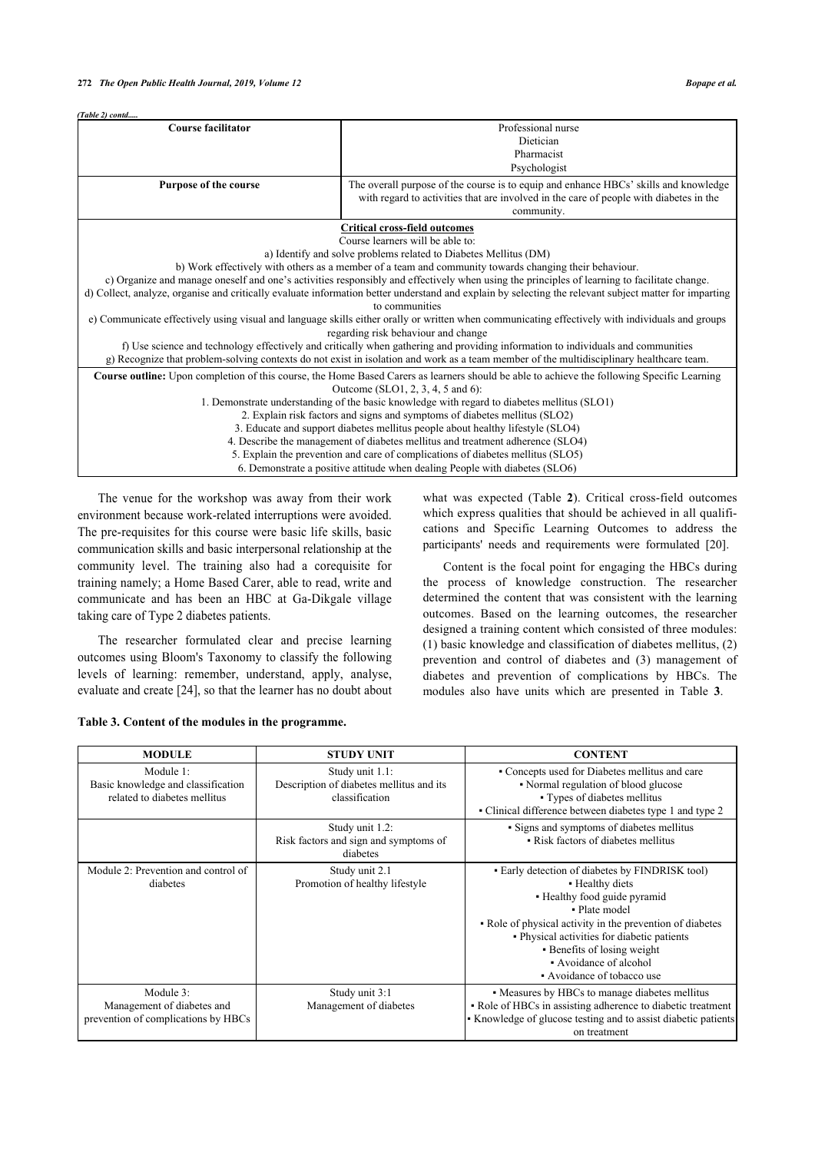| (Table 2) contd                                                                                                                                                                                                                                                              |                                                                                                                                                                                              |  |  |
|------------------------------------------------------------------------------------------------------------------------------------------------------------------------------------------------------------------------------------------------------------------------------|----------------------------------------------------------------------------------------------------------------------------------------------------------------------------------------------|--|--|
| <b>Course facilitator</b>                                                                                                                                                                                                                                                    | Professional nurse                                                                                                                                                                           |  |  |
|                                                                                                                                                                                                                                                                              | Dietician                                                                                                                                                                                    |  |  |
|                                                                                                                                                                                                                                                                              | Pharmacist                                                                                                                                                                                   |  |  |
|                                                                                                                                                                                                                                                                              | Psychologist                                                                                                                                                                                 |  |  |
| Purpose of the course                                                                                                                                                                                                                                                        | The overall purpose of the course is to equip and enhance HBCs' skills and knowledge<br>with regard to activities that are involved in the care of people with diabetes in the<br>community. |  |  |
|                                                                                                                                                                                                                                                                              | <b>Critical cross-field outcomes</b>                                                                                                                                                         |  |  |
|                                                                                                                                                                                                                                                                              | Course learners will be able to:                                                                                                                                                             |  |  |
| a) Identify and solve problems related to Diabetes Mellitus (DM)                                                                                                                                                                                                             |                                                                                                                                                                                              |  |  |
| b) Work effectively with others as a member of a team and community towards changing their behaviour.                                                                                                                                                                        |                                                                                                                                                                                              |  |  |
| c) Organize and manage oneself and one's activities responsibly and effectively when using the principles of learning to facilitate change.                                                                                                                                  |                                                                                                                                                                                              |  |  |
| d) Collect, analyze, organise and critically evaluate information better understand and explain by selecting the relevant subject matter for imparting                                                                                                                       |                                                                                                                                                                                              |  |  |
|                                                                                                                                                                                                                                                                              | to communities                                                                                                                                                                               |  |  |
|                                                                                                                                                                                                                                                                              | e) Communicate effectively using visual and language skills either orally or written when communicating effectively with individuals and groups                                              |  |  |
|                                                                                                                                                                                                                                                                              | regarding risk behaviour and change                                                                                                                                                          |  |  |
| f) Use science and technology effectively and critically when gathering and providing information to individuals and communities<br>g) Recognize that problem-solving contexts do not exist in isolation and work as a team member of the multidisciplinary healthcare team. |                                                                                                                                                                                              |  |  |
| <b>Course outline:</b> Upon completion of this course, the Home Based Carers as learners should be able to achieve the following Specific Learning                                                                                                                           |                                                                                                                                                                                              |  |  |
| Outcome (SLO1, 2, 3, 4, 5 and 6):                                                                                                                                                                                                                                            |                                                                                                                                                                                              |  |  |
| 1. Demonstrate understanding of the basic knowledge with regard to diabetes mellitus (SLO1)                                                                                                                                                                                  |                                                                                                                                                                                              |  |  |
| 2. Explain risk factors and signs and symptoms of diabetes mellitus (SLO2)                                                                                                                                                                                                   |                                                                                                                                                                                              |  |  |
|                                                                                                                                                                                                                                                                              | 3. Educate and support diabetes mellitus people about healthy lifestyle (SLO4)                                                                                                               |  |  |
|                                                                                                                                                                                                                                                                              | 4. Describe the management of diabetes mellitus and treatment adherence (SLO4)                                                                                                               |  |  |
| 5. Explain the prevention and care of complications of diabetes mellitus (SLO5)                                                                                                                                                                                              |                                                                                                                                                                                              |  |  |
|                                                                                                                                                                                                                                                                              | 6. Demonstrate a positive attitude when dealing People with diabetes (SLO6)                                                                                                                  |  |  |

The venue for the workshop was away from their work environment because work-related interruptions were avoided. The pre-requisites for this course were basic life skills, basic communication skills and basic interpersonal relationship at the community level. The training also had a corequisite for training namely; a Home Based Carer, able to read, write and communicate and has been an HBC at Ga-Dikgale village taking care of Type 2 diabetes patients.

The researcher formulated clear and precise learning outcomes using Bloom's Taxonomy to classify the following levels of learning: [re](#page-6-6)member, understand, apply, analyse, evaluate and create [24], so that the learner has no doubt about

<span id="page-3-0"></span>**Table 3. Content of the modules in the programme.**

what was expected (Table**2**). Critical cross-field outcomes which express qualities that should be achieved in all qualifications and Specific Learning Outcomes to address the participants' needs and requirements were formulated[[20\]](#page-6-19).

Content is the focal point for engaging the HBCs during the process of knowledge construction. The researcher determined the content that was consistent with the learning outcomes. Based on the learning outcomes, the researcher designed a training content which consisted of three modules: (1) basic knowledge and classification of diabetes mellitus, (2) prevention and control of diabetes and (3) management of diabetes and prevention of complications by HBCs. The modules also have units which are presented in Table**3**.

| <b>MODULE</b>                                                                   | <b>STUDY UNIT</b>                                                             | <b>CONTENT</b>                                                                                                                                                                                                                                                                                                         |
|---------------------------------------------------------------------------------|-------------------------------------------------------------------------------|------------------------------------------------------------------------------------------------------------------------------------------------------------------------------------------------------------------------------------------------------------------------------------------------------------------------|
| Module 1:<br>Basic knowledge and classification<br>related to diabetes mellitus | Study unit 1.1:<br>Description of diabetes mellitus and its<br>classification | • Concepts used for Diabetes mellitus and care<br>• Normal regulation of blood glucose<br>• Types of diabetes mellitus<br>• Clinical difference between diabetes type 1 and type 2                                                                                                                                     |
|                                                                                 | Study unit 1.2:<br>Risk factors and sign and symptoms of<br>diabetes          | • Signs and symptoms of diabetes mellitus<br>• Risk factors of diabetes mellitus                                                                                                                                                                                                                                       |
| Module 2: Prevention and control of<br>diabetes                                 | Study unit 2.1<br>Promotion of healthy lifestyle                              | • Early detection of diabetes by FINDRISK tool)<br>• Healthy diets<br>• Healthy food guide pyramid<br>• Plate model<br>• Role of physical activity in the prevention of diabetes<br>• Physical activities for diabetic patients<br>• Benefits of losing weight<br>• Avoidance of alcohol<br>• Avoidance of tobacco use |
| Module 3:<br>Management of diabetes and<br>prevention of complications by HBCs  | Study unit 3:1<br>Management of diabetes                                      | • Measures by HBCs to manage diabetes mellitus<br>• Role of HBCs in assisting adherence to diabetic treatment<br>• Knowledge of glucose testing and to assist diabetic patients<br>on treatment                                                                                                                        |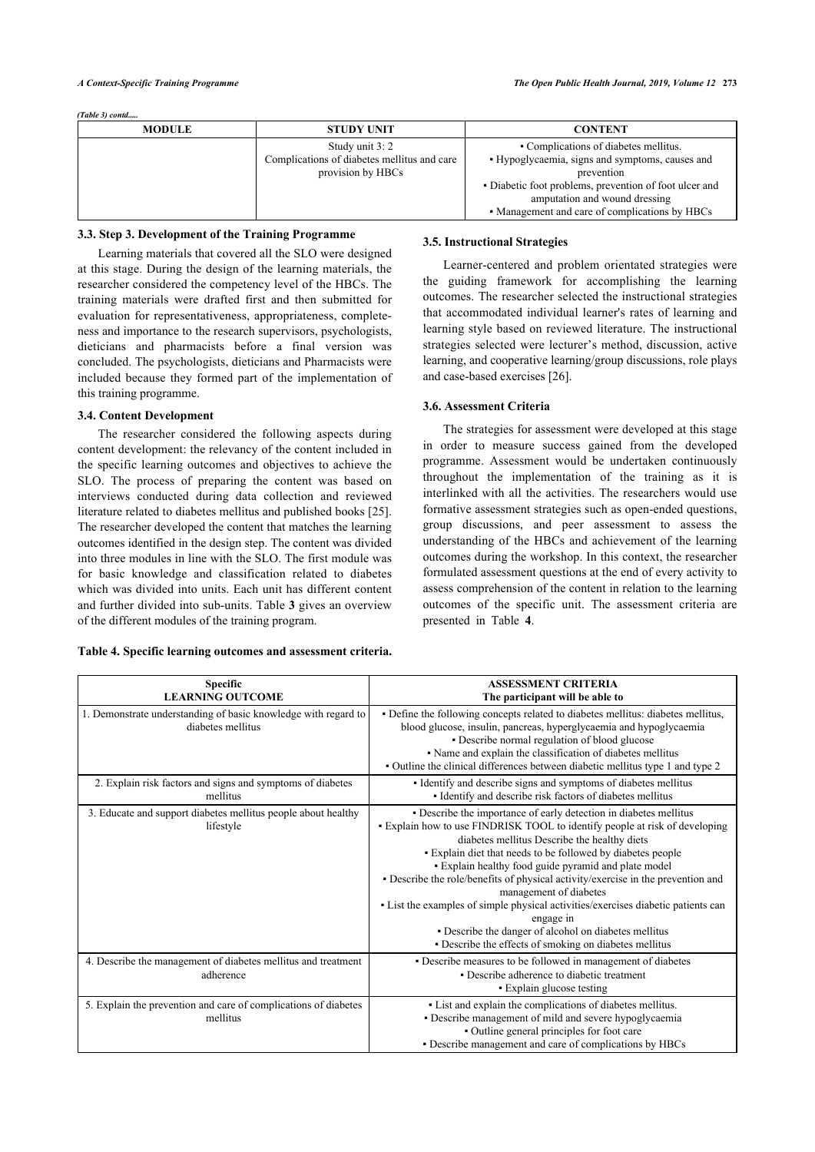*(Table 3) contd.....*

| <b>MODULE</b> | <b>STUDY UNIT</b>                           | <b>CONTENT</b>                                         |
|---------------|---------------------------------------------|--------------------------------------------------------|
|               | Study unit 3: 2                             | • Complications of diabetes mellitus.                  |
|               | Complications of diabetes mellitus and care | • Hypoglycaemia, signs and symptoms, causes and        |
|               | provision by HBCs                           | prevention                                             |
|               |                                             | • Diabetic foot problems, prevention of foot ulcer and |
|               |                                             | amputation and wound dressing                          |
|               |                                             | • Management and care of complications by HBCs         |

# **3.3. Step 3. Development of the Training Programme**

Learning materials that covered all the SLO were designed at this stage. During the design of the learning materials, the researcher considered the competency level of the HBCs. The training materials were drafted first and then submitted for evaluation for representativeness, appropriateness, completeness and importance to the research supervisors, psychologists, dieticians and pharmacists before a final version was concluded. The psychologists, dieticians and Pharmacists were included because they formed part of the implementation of this training programme.

#### **3.4. Content Development**

The researcher considered the following aspects during content development: the relevancy of the content included in the specific learning outcomes and objectives to achieve the SLO. The process of preparing the content was based on interviews conducted during data collection and reviewed literature related to diabetes mellitus and published books [[25](#page-6-22)]. The researcher developed the content that matches the learning outcomes identified in the design step. The content was divided into three modules in line with the SLO. The first module was for basic knowledge and classification related to diabetes which was divided into units. Each unit has different content and further divided into sub-units. Table **[3](#page-3-0)** gives an overview of the different modules of the training program.

#### <span id="page-4-0"></span>**Table 4. Specific learning outcomes and assessment criteria.**

# **3.5. Instructional Strategies**

Learner-centered and problem orientated strategies were the guiding framework for accomplishing the learning outcomes. The researcher selected the instructional strategies that accommodated individual learner's rates of learning and learning style based on reviewed literature. The instructional strategies selected were lecturer's method, discussion, active learning, and cooperative learning/group discussions, role plays and case-based exercises [[26\]](#page-6-23).

#### **3.6. Assessment Criteria**

The strategies for assessment were developed at this stage in order to measure success gained from the developed programme. Assessment would be undertaken continuously throughout the implementation of the training as it is interlinked with all the activities. The researchers would use formative assessment strategies such as open-ended questions, group discussions, and peer assessment to assess the understanding of the HBCs and achievement of the learning outcomes during the workshop. In this context, the researcher formulated assessment questions at the end of every activity to assess comprehension of the content in relation to the learning outcomes of the s[pe](#page-4-0)cific unit. The assessment criteria are presented in Table **4**.

| <b>Specific</b><br><b>LEARNING OUTCOME</b>                                          | <b>ASSESSMENT CRITERIA</b><br>The participant will be able to                                                                                                                                                                                                                                                                                                                                                                                                                                                                                                                                                                                              |
|-------------------------------------------------------------------------------------|------------------------------------------------------------------------------------------------------------------------------------------------------------------------------------------------------------------------------------------------------------------------------------------------------------------------------------------------------------------------------------------------------------------------------------------------------------------------------------------------------------------------------------------------------------------------------------------------------------------------------------------------------------|
| 1. Demonstrate understanding of basic knowledge with regard to<br>diabetes mellitus | • Define the following concepts related to diabetes mellitus: diabetes mellitus,<br>blood glucose, insulin, pancreas, hyperglycaemia and hypoglycaemia<br>• Describe normal regulation of blood glucose<br>• Name and explain the classification of diabetes mellitus<br>• Outline the clinical differences between diabetic mellitus type 1 and type 2                                                                                                                                                                                                                                                                                                    |
| 2. Explain risk factors and signs and symptoms of diabetes<br>mellitus              | • Identify and describe signs and symptoms of diabetes mellitus<br>• Identify and describe risk factors of diabetes mellitus                                                                                                                                                                                                                                                                                                                                                                                                                                                                                                                               |
| 3. Educate and support diabetes mellitus people about healthy<br>lifestyle          | • Describe the importance of early detection in diabetes mellitus<br>• Explain how to use FINDRISK TOOL to identify people at risk of developing<br>diabetes mellitus Describe the healthy diets<br>• Explain diet that needs to be followed by diabetes people<br>• Explain healthy food guide pyramid and plate model<br>• Describe the role/benefits of physical activity/exercise in the prevention and<br>management of diabetes<br>• List the examples of simple physical activities/exercises diabetic patients can<br>engage in<br>• Describe the danger of alcohol on diabetes mellitus<br>• Describe the effects of smoking on diabetes mellitus |
| 4. Describe the management of diabetes mellitus and treatment<br>adherence          | • Describe measures to be followed in management of diabetes<br>• Describe adherence to diabetic treatment<br>• Explain glucose testing                                                                                                                                                                                                                                                                                                                                                                                                                                                                                                                    |
| 5. Explain the prevention and care of complications of diabetes<br>mellitus         | • List and explain the complications of diabetes mellitus.<br>• Describe management of mild and severe hypoglycaemia<br>• Outline general principles for foot care<br>· Describe management and care of complications by HBCs                                                                                                                                                                                                                                                                                                                                                                                                                              |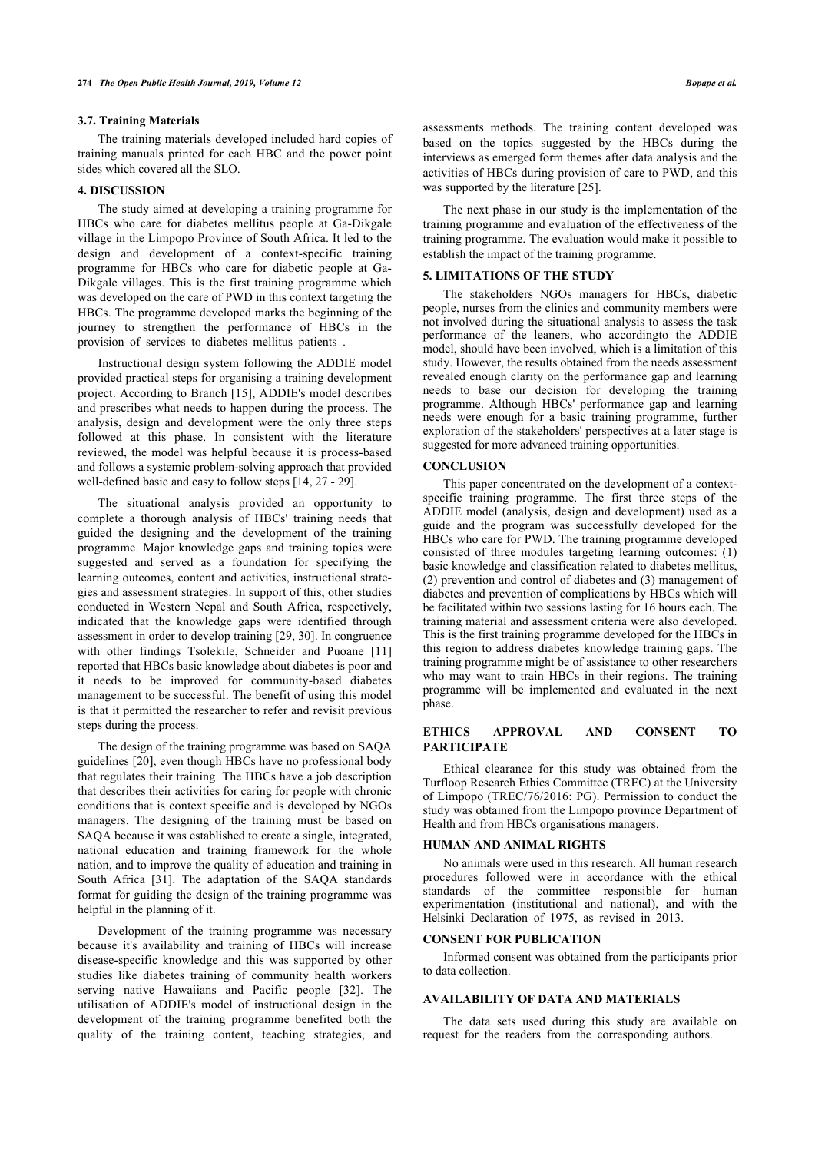#### **3.7. Training Materials**

The training materials developed included hard copies of training manuals printed for each HBC and the power point sides which covered all the SLO.

#### **4. DISCUSSION**

The study aimed at developing a training programme for HBCs who care for diabetes mellitus people at Ga-Dikgale village in the Limpopo Province of South Africa. It led to the design and development of a context-specific training programme for HBCs who care for diabetic people at Ga-Dikgale villages. This is the first training programme which was developed on the care of PWD in this context targeting the HBCs. The programme developed marks the beginning of the journey to strengthen the performance of HBCs in the provision of services to diabetes mellitus patients .

Instructional design system following the ADDIE model provided practical steps for organising a training development project. According to Branch [[15](#page-6-14)], ADDIE's model describes and prescribes what needs to happen during the process. The analysis, design and development were the only three steps followed at this phase. In consistent with the literature reviewed, the model was helpful because it is process-based and follows a systemic problem-solving approach that provided well-defined basic and easy to follow steps [[14,](#page-6-13) [27](#page-6-24) - [29\]](#page-6-10).

The situational analysis provided an opportunity to complete a thorough analysis of HBCs' training needs that guided the designing and the development of the training programme. Major knowledge gaps and training topics were suggested and served as a foundation for specifying the learning outcomes, content and activities, instructional strategies and assessment strategies. In support of this, other studies conducted in Western Nepal and South Africa, respectively, indicated that the knowledge gaps were identified through assessment in order to develop training [\[29](#page-6-10), [30](#page-6-11)]. In congruence with other findings Tsolekile, Schneider and Puoane[[11](#page-6-10)] reported that HBCs basic knowledge about diabetes is poor and it needs to be improved for community-based diabetes management to be successful. The benefit of using this model is that it permitted the researcher to refer and revisit previous steps during the process.

The design of the training programme was based on SAQA guidelines [[20](#page-6-19)], even though HBCs have no professional body that regulates their training. The HBCs have a job description that describes their activities for caring for people with chronic conditions that is context specific and is developed by NGOs managers. The designing of the training must be based on SAQA because it was established to create a single, integrated, national education and training framework for the whole nation, and to improve the quality of education and training in South Africa[[31\]](#page-6-25). The adaptation of the SAQA standards format for guiding the design of the training programme was helpful in the planning of it.

Development of the training programme was necessary because it's availability and training of HBCs will increase disease-specific knowledge and this was supported by other studies like diabetes training of community health workers serving native Hawaiians and Pacific people[[32](#page-6-26)]. The utilisation of ADDIE's model of instructional design in the development of the training programme benefited both the quality of the training content, teaching strategies, and

assessments methods. The training content developed was based on the topics suggested by the HBCs during the interviews as emerged form themes after data analysis and the activities of HBCs during provision of care to PWD, and this was supported by the literature [\[25](#page-6-22)].

The next phase in our study is the implementation of the training programme and evaluation of the effectiveness of the training programme. The evaluation would make it possible to establish the impact of the training programme.

#### **5. LIMITATIONS OF THE STUDY**

The stakeholders NGOs managers for HBCs, diabetic people, nurses from the clinics and community members were not involved during the situational analysis to assess the task performance of the leaners, who accordingto the ADDIE model, should have been involved, which is a limitation of this study. However, the results obtained from the needs assessment revealed enough clarity on the performance gap and learning needs to base our decision for developing the training programme. Although HBCs' performance gap and learning needs were enough for a basic training programme, further exploration of the stakeholders' perspectives at a later stage is suggested for more advanced training opportunities.

#### **CONCLUSION**

This paper concentrated on the development of a contextspecific training programme. The first three steps of the ADDIE model (analysis, design and development) used as a guide and the program was successfully developed for the HBCs who care for PWD. The training programme developed consisted of three modules targeting learning outcomes: (1) basic knowledge and classification related to diabetes mellitus, (2) prevention and control of diabetes and (3) management of diabetes and prevention of complications by HBCs which will be facilitated within two sessions lasting for 16 hours each. The training material and assessment criteria were also developed. This is the first training programme developed for the HBCs in this region to address diabetes knowledge training gaps. The training programme might be of assistance to other researchers who may want to train HBCs in their regions. The training programme will be implemented and evaluated in the next phase.

# **ETHICS APPROVAL AND CONSENT TO PARTICIPATE**

Ethical clearance for this study was obtained from the Turfloop Research Ethics Committee (TREC) at the University of Limpopo (TREC/76/2016: PG). Permission to conduct the study was obtained from the Limpopo province Department of Health and from HBCs organisations managers.

# **HUMAN AND ANIMAL RIGHTS**

No animals were used in this research. All human research procedures followed were in accordance with the ethical standards of the committee responsible for human experimentation (institutional and national), and with the Helsinki Declaration of 1975, as revised in 2013.

#### **CONSENT FOR PUBLICATION**

Informed consent was obtained from the participants prior to data collection.

### **AVAILABILITY OF DATA AND MATERIALS**

The data sets used during this study are available on request for the readers from the corresponding authors.